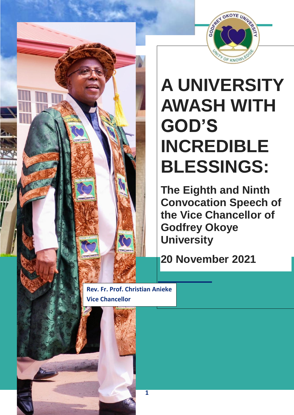

# **A UNIVERSITY AWASH WITH GOD'S INCREDIBLE BLESSINGS:**

**The Eighth and Ninth Convocation Speech of the Vice Chancellor of Godfrey Okoye University** 

**20 November 2021**

**Rev. Fr. Prof. Christian Anieke Vice Chancellor**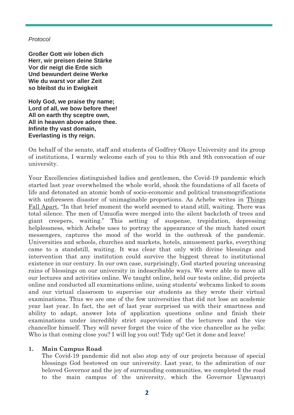#### *Protocol*

**Großer Gott wir loben dich Herr, wir preisen deine Stärke Vor dir neigt die Erde sich Und bewundert deine Werke Wie du warst vor aller Zeit so bleibst du in Ewigkeit**

**Holy God, we praise thy name; Lord of all, we bow before thee! All on earth thy sceptre own, All in heaven above adore thee. Infinite thy vast domain, Everlasting is thy reign.**

On behalf of the senate, staff and students of Godfrey Okoye University and its group of institutions, I warmly welcome each of you to this 8th and 9th convocation of our university.

Your Excellencies distinguished ladies and gentlemen, the Covid-19 pandemic which started last year overwhelmed the whole world, shook the foundations of all facets of life and detonated an atomic bomb of socio-economic and political transmogrifications with unforeseen disaster of unimaginable proportions. As Achebe writes in Things Fall Apart, "In that brief moment the world seemed to stand still, waiting. There was total silence. The men of Umuofia were merged into the silent backcloth of trees and giant creepers, waiting." This setting of suspense, trepidation, depressing helplessness, which Achebe uses to portray the appearance of the much hated court messengers, captures the mood of the world in the outbreak of the pandemic. Universities and schools, churches and markets, hotels, amusement parks, everything came to a standstill, waiting. It was clear that only with divine blessings and intervention that any institution could survive the biggest threat to institutional existence in our century. In our own case, surprisingly, God started pouring unceasing rains of blessings on our university in indescribable ways. We were able to move all our lectures and activities online. We taught online, held our tests online, did projects online and conducted all examinations online, using students' webcams linked to zoom and our virtual classroom to supervise our students as they wrote their virtual examinations. Thus we are one of the few universities that did not lose an academic year last year. In fact, the set of last year surprised us with their smartness and ability to adapt, answer lots of application questions online and finish their examinations under incredibly strict supervision of the lecturers and the vice chancellor himself. They will never forget the voice of the vice chancellor as he yells: Who is that coming close you? I will log you out! Tidy up! Get it done and leave!

## **1. Main Campus Road**

The Covid-19 pandemic did not also stop any of our projects because of special blessings God bestowed on our university. Last year, to the admiration of our beloved Governor and the joy of surrounding communities, we completed the road to the main campus of the university, which the Governor Ugwuanyi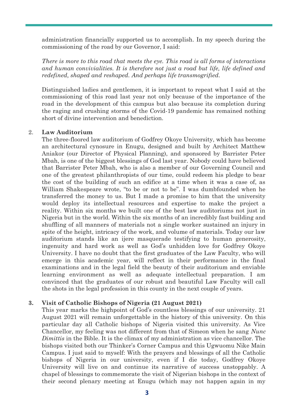administration financially supported us to accomplish. In my speech during the commissioning of the road by our Governor, I said:

*There is more to this road that meets the eye. This road is all forms of interactions and human convivialities. It is therefore not just a road but life, life defined and redefined, shaped and reshaped. And perhaps life transmogrified.*

Distinguished ladies and gentlemen, it is important to repeat what I said at the commissioning of this road last year not only because of the importance of the road in the development of this campus but also because its completion during the raging and crushing storms of the Covid-19 pandemic has remained nothing short of divine intervention and benediction.

#### 2. **Law Auditorium**

The three-floored law auditorium of Godfrey Okoye University, which has become an architectural cynosure in Enugu, designed and built by Architect Matthew Aniakor (our Director of Physical Planning), and sponsored by Barrister Peter Mbah, is one of the biggest blessings of God last year. Nobody could have believed that Barrister Peter Mbah, who is also a member of our Governing Council and one of the greatest philanthropists of our time, could redeem his pledge to bear the cost of the building of such an edifice at a time when it was a case of, as William Shakespeare wrote, "to be or not to be". I was dumbfounded when he transferred the money to us. But I made a promise to him that the university would deploy its intellectual resources and expertise to make the project a reality. Within six months we built one of the best law auditoriums not just in Nigeria but in the world. Within the six months of an incredibly fast building and shuffling of all manners of materials not a single worker sustained an injury in spite of the height, intricacy of the work, and volume of materials. Today our law auditorium stands like an ijere masquerade testifying to human generosity, ingenuity and hard work as well as God's unhidden love for Godfrey Okoye University. I have no doubt that the first graduates of the Law Faculty, who will emerge in this academic year, will reflect in their performance in the final examinations and in the legal field the beauty of their auditorium and enviable learning environment as well as adequate intellectual preparation. I am convinced that the graduates of our robust and beautiful Law Faculty will call the shots in the legal profession in this county in the next couple of years.

#### **3. Visit of Catholic Bishops of Nigeria (21 August 2021)**

This year marks the highpoint of God's countless blessings of our university. 21 August 2021 will remain unforgettable in the history of this university. On this particular day all Catholic bishops of Nigeria visited this university. As Vice Chancellor, my feeling was not different from that of Simeon when he sang *Nunc Dimittis* in the Bible. It is the climax of my administration as vice chancellor. The bishops visited both our Thinker's Corner Campus and this Ugwuomu Nike Main Campus. I just said to myself: With the prayers and blessings of all the Catholic bishops of Nigeria in our university, even if I die today, Godfrey Okoye University will live on and continue its narrative of success unstoppably. A chapel of blessings to commemorate the visit of Nigerian bishops in the context of their second plenary meeting at Enugu (which may not happen again in my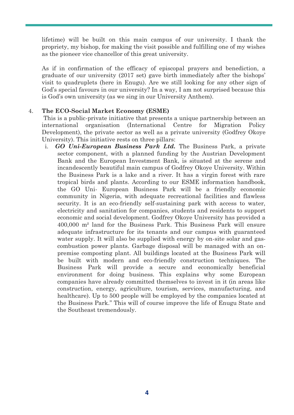lifetime) will be built on this main campus of our university. I thank the propriety, my bishop, for making the visit possible and fulfilling one of my wishes as the pioneer vice chancellor of this great university.

As if in confirmation of the efficacy of episcopal prayers and benediction, a graduate of our university (2017 set) gave birth immediately after the bishops' visit to quadruplets (here in Enugu). Are we still looking for any other sign of God's special favours in our university? In a way, I am not surprised because this is God's own university (as we sing in our University Anthem).

## 4. **The ECO-Social Market Economy (ESME)**

This is a public-private initiative that presents a unique partnership between an international organisation (International Centre for Migration Policy Development), the private sector as well as a private university (Godfrey Okoye University). This initiative rests on three pillars:

i. *GO Uni-European Business Park Ltd.* The Business Park, a private sector component, with a planned funding by the Austrian Development Bank and the European Investment Bank, is situated at the serene and incandescently beautiful main campus of Godfrey Okoye University. Within the Business Park is a lake and a river. It has a virgin forest with rare tropical birds and plants. According to our ESME information handbook, the GO Uni- European Business Park will be a friendly economic community in Nigeria, with adequate recreational facilities and flawless security. It is an eco-friendly self-sustaining park with access to water, electricity and sanitation for companies, students and residents to support economic and social development. Godfrey Okoye University has provided a 400,000 m² land for the Business Park. This Business Park will ensure adequate infrastructure for its tenants and our campus with guaranteed water supply. It will also be supplied with energy by on-site solar and gascombustion power plants. Garbage disposal will be managed with an onpremise composting plant. All buildings located at the Business Park will be built with modern and eco-friendly construction techniques. The Business Park will provide a secure and economically beneficial environment for doing business. This explains why some European companies have already committed themselves to invest in it (in areas like construction, energy, agriculture, tourism, services, manufacturing, and healthcare). Up to 500 people will be employed by the companies located at the Business Park." This will of course improve the life of Enugu State and the Southeast tremendously.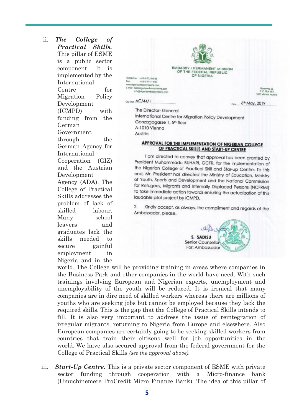ii. *The College of Practical Skills.*  This pillar of ESME is a public sector component. It is implemented by the International Centre for Migration Policy Development (ICMPD) with funding from the German Government through the German Agency for International Cooperation (GIZ) and the Austrian Development Agency (ADA). The College of Practical Skills addresses the problem of lack of skilled labour. Many school leavers and graduates lack the skills needed to secure gainful employment in Nigeria and in the



The Director- General International Centre for Migration Policy Development Gonzagagasse 1, 5th floor A-1010 Vienna Austria

#### **APPROVAL FOR THE IMPLEMENTATION OF NIGERIAN COLLEGE** OF PRACTICAL SKILLS AND START-UP CENTRE

I am directed to convey that approval has been granted by President Muhammadu BUHARI, GCFR, for the implementation of the Nigerian College of Practical Skill and Star-up Centre. To this end, Mr. President has directed the Ministry of Education, Ministry of Youth, Sports and Development and the National Commission for Refugees, Migrants and Internally Displaced Persons (NCFRMI) to take immediate action towards ensuring the actualization of this laudable pilot project by ICMPD.

 $\overline{2}$ Kindly accept, as always, the compliment and regards of the Ambassador, please.



world. The College will be providing training in areas where companies in the Business Park and other companies in the world have need. With such trainings involving European and Nigerian experts, unemployment and unemployability of the youth will be reduced. It is ironical that many companies are in dire need of skilled workers whereas there are millions of youths who are seeking jobs but cannot be employed because they lack the required skills. This is the gap that the College of Practical Skills intends to fill. It is also very important to address the issue of reintegration of irregular migrants, returning to Nigeria from Europe and elsewhere. Also European companies are certainly going to be seeking skilled workers from countries that train their citizens well for job opportunities in the world. We have also secured approval from the federal government for the College of Practical Skills *(see the approval above).*

iii. *Start-Up Centre.* This is a private sector component of ESME with private sector funding through cooperation with a Micro-finance bank (Umuchinemere ProCredit Micro Finance Bank). The idea of this pillar of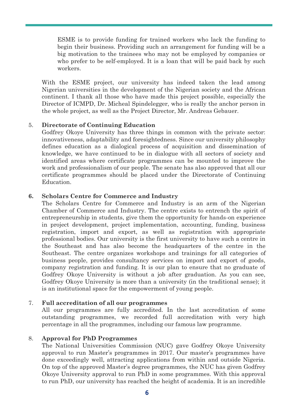ESME is to provide funding for trained workers who lack the funding to begin their business. Providing such an arrangement for funding will be a big motivation to the trainees who may not be employed by companies or who prefer to be self-employed. It is a loan that will be paid back by such workers.

With the ESME project, our university has indeed taken the lead among Nigerian universities in the development of the Nigerian society and the African continent. I thank all those who have made this project possible, especially the Director of ICMPD, Dr. Micheal Spindelegger, who is really the anchor person in the whole project, as well as the Project Director, Mr. Andreas Gebauer.

## 5. **Directorate of Continuing Education**

Godfrey Okoye University has three things in common with the private sector: innovativeness, adaptability and foresightedness. Since our university philosophy defines education as a dialogical process of acquisition and dissemination of knowledge, we have continued to be in dialogue with all sectors of society and identified areas where certificate programmes can be mounted to improve the work and professionalism of our people. The senate has also approved that all our certificate programmes should be placed under the Directorate of Continuing Education.

## **6. Scholars Centre for Commerce and Industry**

The Scholars Centre for Commerce and Industry is an arm of the Nigerian Chamber of Commerce and Industry. The centre exists to entrench the spirit of entrepreneurship in students, give them the opportunity for hands-on experience in project development, project implementation, accounting, funding, business registration, import and export, as well as registration with appropriate professional bodies. Our university is the first university to have such a centre in the Southeast and has also become the headquarters of the centre in the Southeast. The centre organizes workshops and trainings for all categories of business people, provides consultancy services on import and export of goods, company registration and funding. It is our plan to ensure that no graduate of Godfrey Okoye University is without a job after graduation. As you can see, Godfrey Okoye University is more than a university (in the traditional sense); it is an institutional space for the empowerment of young people.

## 7. **Full accreditation of all our programmes**

All our programmes are fully accredited. In the last accreditation of some outstanding programmes, we recorded full accreditation with very high percentage in all the programmes, including our famous law programme.

## 8. **Approval for PhD Programmes**

The National Universities Commission (NUC) gave Godfrey Okoye University approval to run Master's programmes in 2017. Our master's programmes have done exceedingly well, attracting applications from within and outside Nigeria. On top of the approved Master's degree programmes, the NUC has given Godfrey Okoye University approval to run PhD in some programmes. With this approval to run PhD, our university has reached the height of academia. It is an incredible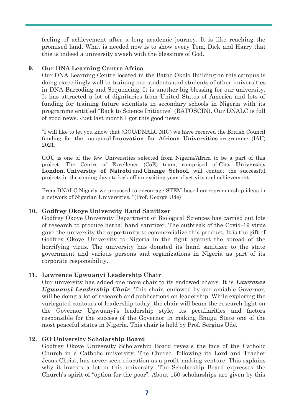feeling of achievement after a long academic journey. It is like reaching the promised land. What is needed now is to show every Tom, Dick and Harry that this is indeed a university awash with the blessings of God.

## **9. Our DNA Learning Centre Africa**

Our DNA Learning Centre located in the Batho Okolo Building on this campus is doing exceedingly well in training our students and students of other universities in DNA Barcoding and Sequencing. It is another big blessing for our university. It has attracted a lot of dignitaries from United States of America and lots of funding for training future scientists in secondary schools in Nigeria with its programme entitled "Back to Science Initiative" (BATOSCIN). Our DNALC is full of good news. Just last month I got this good news:

"I will like to let you know that (GOU/DNALC NIG) we have received the British Council funding for the inaugural **Innovation for African Universities** programme (IAU) 2021.

GOU is one of the few Universities selected from Nigeria/Africa to be a part of this project. The Centre of Excellence (CoE) team, comprised of **City University London**, **University of Nairobi** and **Change School**, will contact the successful projects in the coming days to kick off an exciting year of activity and achievement.

From DNALC Nigeria we proposed to encourage STEM-based entrepreneurship ideas in a network of Nigerian Universities. "(Prof. George Ude)

# **10. Godfrey Okoye University Hand Sanitizer**

Godfrey Okoye University Department of Biological Sciences has carried out lots of research to produce herbal hand sanitizer. The outbreak of the Covid-19 virus gave the university the opportunity to commercialize this product. It is the gift of Godfrey Okoye University to Nigeria in the fight against the spread of the horrifying virus. The university has donated its hand sanitizer to the state government and various persons and organizations in Nigeria as part of its corporate responsibility.

## **11. Lawrence Ugwuanyi Leadership Chair**

Our university has added one more chair to its endowed chairs. It is *Lawrence Ugwuanyi Leadership Chair*. This chair, endowed by our amiable Governor, will be doing a lot of research and publications on leadership. While exploring the variegated contours of leadership today, the chair will beam the research light on the Governor Ugwuanyi's leadership style, its peculiarities and factors responsible for the success of the Governor in making Enugu State one of the most peaceful states in Nigeria. This chair is held by Prof. Sergius Ude.

# **12. GO University Scholarship Board**

Godfrey Okoye University Scholarship Board reveals the face of the Catholic Church in a Catholic university. The Church, following its Lord and Teacher Jesus Christ, has never seen education as a profit-making venture. This explains why it invests a lot in this university. The Scholarship Board expresses the Church's spirit of "option for the poor". About 150 scholarships are given by this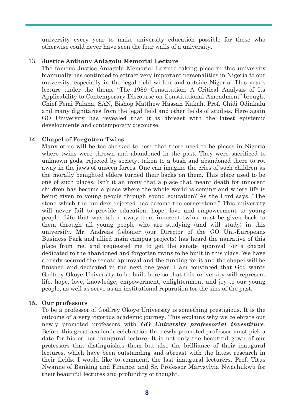university every year to make university education possible for those who otherwise could never have seen the four walls of a university.

#### 13. **Justice Anthony Aniagolu Memorial Lecture**

The famous Justice Aniagolu Memorial Lecture taking place in this university biannually has continued to attract very important personalities in Nigeria to our university, especially in the legal field within and outside Nigeria. This year's lecture under the theme "The 1989 Constitution: A Critical Analysis of Its Applicability to Contemporary Discourse on Constitutional Amendment" brought Chief Femi Falana, SAN, Bishop Matthew Hassan Kukah, Prof. Chidi Odinkalu and many dignitaries from the legal field and other fields of studies. Here again GO University has revealed that it is abreast with the latest epistemic developments and contemporary discourse.

#### **14. Chapel of Forgotten Twins**

Many of us will be too shocked to hear that there used to be places in Nigeria where twins were thrown and abandoned in the past. They were sacrificed to unknown gods, rejected by society, taken to a bush and abandoned there to rot away in the jaws of unseen forces. One can imagine the cries of such children as the morally benighted elders turned their backs on them. This place used to be one of such places. Isn't it an irony that a place that meant death for innocent children has become a place where the whole world is coming and where life is being given to young people through sound education? As the Lord says, "The stone which the builders rejected has become the cornerstone." This university will never fail to provide education, hope, love and empowerment to young people. Life that was taken away from innocent twins must be given back to them through all young people who are studying (and will study) in this university. Mr. Andreas Gebauer (our Director of the GO Uni-Europeans Business Park and allied main campus projects) has heard the narrative of this place from me, and requested me to get the senate approval for a chapel dedicated to the abandoned and forgotten twins to be built in this place. We have already secured the senate approval and the funding for it and the chapel will be finished and dedicated in the next one year. I am convinced that God wants Godfrey Okoye University to be built here so that this university will represent life, hope, love, knowledge, empowerment, enlightenment and joy to our young people, as well as serve as an institutional reparation for the sins of the past.

## **15. Our professors**

To be a professor of Godfrey Okoye University is something prestigious. It is the outcome of a very rigorous academic journey. This explains why we celebrate our newly promoted professors with *GO University professorial investiture*. Before this great academic celebration the newly promoted professor must pick a date for his or her inaugural lecture. It is not only the beautiful gown of our professors that distinguishes them but also the brilliance of their inaugural lectures, which have been outstanding and abreast with the latest research in their fields. I would like to commend the last inaugural lecturers, Prof. Titus Nwanne of Banking and Finance, and Sr. Professor Marysylvia Nwachukwu for their beautiful lectures and profundity of thought.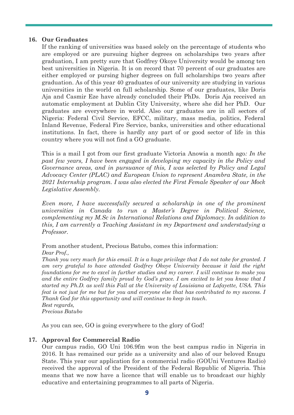## **16. Our Graduates**

If the ranking of universities was based solely on the percentage of students who are employed or are pursuing higher degrees on scholarships two years after graduation, I am pretty sure that Godfrey Okoye University would be among ten best universities in Nigeria. It is on record that 70 percent of our graduates are either employed or pursing higher degrees on full scholarships two years after graduation. As of this year 40 graduates of our university are studying in various universities in the world on full scholarship. Some of our graduates, like Doris Aja and Casmir Eze have already concluded their PhDs. Doris Aja received an automatic employment at Dublin City University, where she did her PhD. Our graduates are everywhere in world. Also our graduates are in all sectors of Nigeria: Federal Civil Service, EFCC, military, mass media, politics, Federal Inland Revenue, Federal Fire Service, banks, universities and other educational institutions. In fact, there is hardly any part of or good sector of life in this country where you will not find a GO graduate.

This is a mail I got from our first graduate Victoria Anowia a month ago*: In the past few years, I have been engaged in developing my capacity in the Policy and Governance areas, and in pursuance of this, I was selected by Policy and Legal Advocacy Center (PLAC) and European Union to represent Anambra State, in the 2021 Internship program. I was also elected the First Female Speaker of our Mock Legislative Assembly.*

*Even more, I have successfully secured a scholarship in one of the prominent universities in Canada to run a Master's Degree in Political Science, complementing my M.Sc in International Relations and Diplomacy. In addition to this, I am currently a Teaching Assistant in my Department and understudying a Professor.*

From another student, Precious Batubo, comes this information:

*Dear Prof.,*

*Thank you very much for this email. It is a huge privilege that I do not take for granted. I am very grateful to have attended Godfrey Okoye University because it laid the right foundations for me to excel in further studies and my career. I will continue to make you and the entire Godfrey family proud by God's grace. I am excited to let you know that I started my Ph.D. as well this Fall at the University of Louisiana at Lafayette, USA. This feat is not just for me but for you and everyone else that has contributed to my success. I Thank God for this opportunity and will continue to keep in touch. Best regards, Precious Batubo*

As you can see, GO is going everywhere to the glory of God!

## **17. Approval for Commercial Radio**

Our campus radio, GO Uni 106.9fm won the best campus radio in Nigeria in 2016. It has remained our pride as a university and also of our beloved Enugu State. This year our application for a commercial radio (GOUni Ventures Radio) received the approval of the President of the Federal Republic of Nigeria. This means that we now have a licence that will enable us to broadcast our highly educative and entertaining programmes to all parts of Nigeria.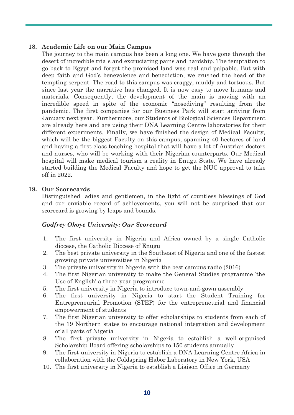## **18. Academic Life on our Main Campus**

The journey to the main campus has been a long one. We have gone through the desert of incredible trials and excruciating pains and hardship. The temptation to go back to Egypt and forget the promised land was real and palpable. But with deep faith and God's benevolence and benediction, we crushed the head of the tempting serpent. The road to this campus was craggy, muddy and tortuous. But since last year the narrative has changed. It is now easy to move humans and materials. Consequently, the development of the main is moving with an incredible speed in spite of the economic "nosediving" resulting from the pandemic. The first companies for our Business Park will start arriving from January next year. Furthermore, our Students of Biological Sciences Department are already here and are using their DNA Learning Centre laboratories for their different experiments. Finally, we have finished the design of Medical Faculty, which will be the biggest Faculty on this campus, spanning 40 hectares of land and having a first-class teaching hospital that will have a lot of Austrian doctors and nurses, who will be working with their Nigerian counterparts. Our Medical hospital will make medical tourism a reality in Enugu State. We have already started building the Medical Faculty and hope to get the NUC approval to take off in 2022.

## **19. Our Scorecards**

Distinguished ladies and gentlemen, in the light of countless blessings of God and our enviable record of achievements, you will not be surprised that our scorecard is growing by leaps and bounds.

## *Godfrey Okoye University: Our Scorecard*

- 1. The first university in Nigeria and Africa owned by a single Catholic diocese, the Catholic Diocese of Enugu
- 2. The best private university in the Southeast of Nigeria and one of the fastest growing private universities in Nigeria
- 3. The private university in Nigeria with the best campus radio (2016)
- 4. The first Nigerian university to make the General Studies programme 'the Use of English' a three-year programme
- 5. The first university in Nigeria to introduce town-and-gown assembly
- 6. The first university in Nigeria to start the Student Training for Entrepreneurial Promotion (STEP) for the entrepreneurial and financial empowerment of students
- 7. The first Nigerian university to offer scholarships to students from each of the 19 Northern states to encourage national integration and development of all parts of Nigeria
- 8. The first private university in Nigeria to establish a well-organised Scholarship Board offering scholarships to 150 students annually
- 9. The first university in Nigeria to establish a DNA Learning Centre Africa in collaboration with the Coldspring Habor Laboratory in New York, USA
- 10. The first university in Nigeria to establish a Liaison Office in Germany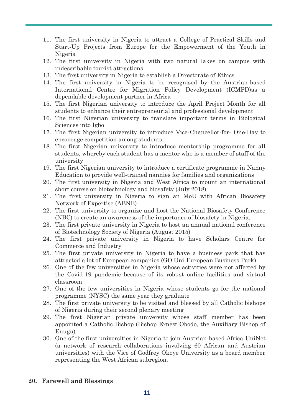- 11. The first university in Nigeria to attract a College of Practical Skills and Start-Up Projects from Europe for the Empowerment of the Youth in Nigeria
- 12. The first university in Nigeria with two natural lakes on campus with indescribable tourist attractions
- 13. The first university in Nigeria to establish a Directorate of Ethics
- 14. The first university in Nigeria to be recognised by the Austrian-based International Centre for Migration Policy Development (ICMPD)as a dependable development partner in Africa
- 15. The first Nigerian university to introduce the April Project Month for all students to enhance their entrepreneurial and professional development
- 16. The first Nigerian university to translate important terms in Biological Sciences into Igbo
- 17. The first Nigerian university to introduce Vice-Chancellor-for- One-Day to encourage competition among students
- 18. The first Nigerian university to introduce mentorship programme for all students, whereby each student has a mentor who is a member of staff of the university
- 19. The first Nigerian university to introduce a certificate programme in Nanny Education to provide well-trained nannies for families and organizations
- 20. The first university in Nigeria and West Africa to mount an international short course on biotechnology and biosafety (July 2018)
- 21. The first university in Nigeria to sign an MoU with African Biosafety Network of Expertise (ABNE)
- 22. The first university to organize and host the National Biosafety Conference (NBC) to create an awareness of the importance of biosafety in Nigeria.
- 23. The first private university in Nigeria to host an annual national conference of Biotechnology Society of Nigeria (August 2015)
- 24. The first private university in Nigeria to have Scholars Centre for Commerce and Industry
- 25. The first private university in Nigeria to have a business park that has attracted a lot of European companies (GO Uni-European Business Park)
- 26. One of the few universities in Nigeria whose activities were not affected by the Covid-19 pandemic because of its robust online facilities and virtual classroom
- 27. One of the few universities in Nigeria whose students go for the national programme (NYSC) the same year they graduate
- 28. The first private university to be visited and blessed by all Catholic bishops of Nigeria during their second plenary meeting
- 29. The first Nigerian private university whose staff member has been appointed a Catholic Bishop (Bishop Ernest Obodo, the Auxiliary Bishop of Enugu)
- 30. One of the first universities in Nigeria to join Austrian-based Africa-UniNet (a network of research collaborations involving 60 African and Austrian universities) with the Vice of Godfrey Okoye University as a board member representing the West African subregion.

#### **20. Farewell and Blessings**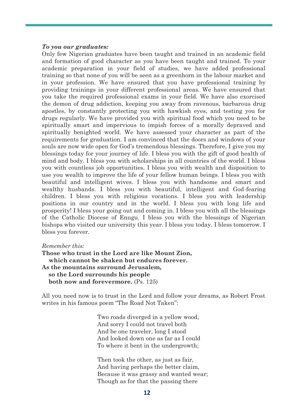#### *To you our graduates:*

Only few Nigerian graduates have been taught and trained in an academic field and formation of good character as you have been taught and trained. To your academic preparation in your field of studies, we have added professional training so that none of you will be seen as a greenhorn in the labour market and in your profession. We have ensured that you have professional training by providing trainings in your different professional areas. We have ensured that you take the required professional exams in your field. We have also exorcised the demon of drug addiction, keeping you away from ravenous, barbarous drug apostles, by constantly protecting you with hawkish eyes, and testing you for drugs regularly. We have provided you with spiritual food which you need to be spiritually smart and impervious to impish forces of a morally depraved and spiritually benighted world. We have assessed your character as part of the requirements for graduation. I am convinced that the doors and windows of your souls are now wide open for God's tremendous blessings. Therefore, I give you my blessings today for your journey of life. I bless you with the gift of good health of mind and body. I bless you with scholarships in all countries of the world. I bless you with countless job opportunities. I bless you with wealth and disposition to use you wealth to improve the life of your fellow human beings. I bless you with beautiful and intelligent wives. I bless you with handsome and smart and wealthy husbands. I bless you with beautiful, intelligent and God-fearing children. I bless you with religious vocations. I bless you with leadership positions in our country and in the world. I bless you with long life and prosperity! I bless your going out and coming in. I bless you with all the blessings of the Catholic Diocese of Enugu. I bless you with the blessings of Nigerian bishops who visited our university this year. I bless you today. I bless tomorrow. I bless you forever.

#### *Remember this:*

**Those who trust in the Lord are like Mount Zion, which cannot be shaken but endures forever. As the mountains surround Jerusalem, so the Lord surrounds his people both now and forevermore.** (Ps. 125)

All you need now is to trust in the Lord and follow your dreams, as Robert Frost writes in his famous poem "The Road Not Taken":

> Two roads diverged in a yellow wood, And sorry I could not travel both And be one traveler, long I stood And looked down one as far as I could To where it bent in the undergrowth;

Then took the other, as just as fair, And having perhaps the better claim, Because it was grassy and wanted wear; Though as for that the passing there